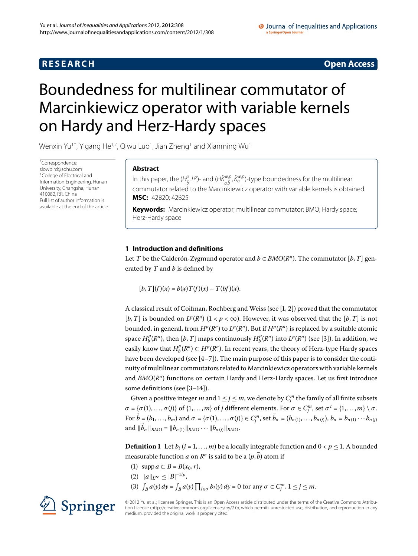## **RESEARCH CONSTRUCTER ACCESS**

#### O Journal of Inequalities and Applications a SpringerOpen Journal

# <span id="page-0-0"></span>Boundedness for multilinear commutator of Marcinkiewicz operator with variable kernels on Hardy and Herz-Hardy spaces

Wenxin Yu $^{\rm 1*}$  $^{\rm 1*}$  $^{\rm 1*}$  $^{\rm 1*}$ , Yigang He $^{\rm 1,2}$  $^{\rm 1,2}$  $^{\rm 1,2}$ , Qiwu Luo $^{\rm 1}$ , Jian Zheng $^{\rm 1}$  and Xianming Wu $^{\rm 1}$ 

\* Correspondence: [slowbird@sohu.com](mailto:slowbird@sohu.com) 1College of Electrical and Information Engineering, Hunan University, Changsha, Hunan 410082, P.R. China Full list of author information is available at the end of the article

## **Abstract**

In this paper, the ( $H_{\vec{b}'}^{\rho}L^{\rho}$ )- and ( $H\dot{K}_{q,\vec{b}}^{\alpha,\rho},\dot{K}_{q}^{\alpha,\rho}$ )-type boundedness for the multilinear commutator related to the Marcinkiewicz operator with variable kernels is obtained. **MSC:** 42B20; 42B25

**Keywords:** Marcinkiewicz operator; multilinear commutator; BMO; Hardy space; Herz-Hardy space

## **1 Introduction and definitions**

Let *T* be the Calderón-Zygmund operator and  $b \in BMO(R^n)$ . The commutator [*b*, *T*] generated by *T* and *b* is defined by

 $[b, T](f)(x) = b(x)T(f)(x) - T(bf)(x).$ 

A classical result of Coifman, Rochberg and Weiss (see  $[1, 2]$  $[1, 2]$  $[1, 2]$ ) proved that the commutator [*b*, *T*] is bounded on  $L^p(R^n)$  ( $1 < p < \infty$ ). However, it was observed that the [*b*, *T*] is not bounded, in general, from  $H^p(R^n)$  to  $L^p(R^n)$ . But if  $H^p(R^n)$  is replaced by a suitable atomic space  $H_b^P(R^n)$ , then  $[b, T]$  $[b, T]$  maps continuously  $H_b^P(R^n)$  into  $L^p(R^n)$  (see [3]). In addition, we easily know that  $H_b^p(R^n) \subset H^p(R^n)$ . In recent years, the theory of Herz-type Hardy spaces have been developed (see  $[4-7]$  $[4-7]$ ). The main purpose of this paper is to consider the continuity of multilinear commutators related to Marcinkiewicz operators with variable kernels and *BMO*(*R<sup>n</sup>*) functions on certain Hardy and Herz-Hardy spaces. Let us first introduce some definitions (see  $[3-14]$  $[3-14]$ ).

Given a positive integer  $m$  and  $1 \le j \le m$ , we denote by  $C_j^m$  the family of all finite subsets  $\sigma = {\sigma(1), \ldots, \sigma(j)}$  of  $\{1, \ldots, m\}$  of *j* different elements. For  $\sigma \in C_j^m$ , set  $\sigma^c = \{1, \ldots, m\} \setminus \sigma$ . For  $\vec{b} = (b_1, \ldots, b_m)$  and  $\sigma = \{\sigma(1), \ldots, \sigma(j)\} \in C_j^m$ , set  $\vec{b}_\sigma = (b_{\sigma(1)}, \ldots, b_{\sigma(j)}), b_\sigma = b_{\sigma(1)} \cdots b_{\sigma(j)}$  $\|b_{\sigma}\|_{BMO} = \|b_{\sigma(1)}\|_{BMO} \cdots \|b_{\sigma(j)}\|_{BMO}.$ 

**Definition 1** Let  $b_i$  ( $i = 1, ..., m$ ) be a locally integrable function and  $0 < p \le 1$ . A bounded measurable function  $a$  on  $R^n$  is said to be a  $(p,\vec{b})$  atom if

- (1) supp  $a \subset B = B(x_0, r)$ ,
- $(2)$   $\|a\|_{L^{\infty}} \leq |B|^{-1/p},$
- (3)  $\int_B a(y) dy = \int_B a(y) \prod_{l \in \sigma} b_l(y) dy = 0$  for any  $\sigma \in C_j^m$ ,  $1 \le j \le m$ .



© 2012 Yu et al.; licensee Springer. This is an Open Access article distributed under the terms of the Creative Commons Attribution License ([http://creativecommons.org/licenses/by/2.0\)](http://creativecommons.org/licenses/by/2.0), which permits unrestricted use, distribution, and reproduction in any medium, provided the original work is properly cited.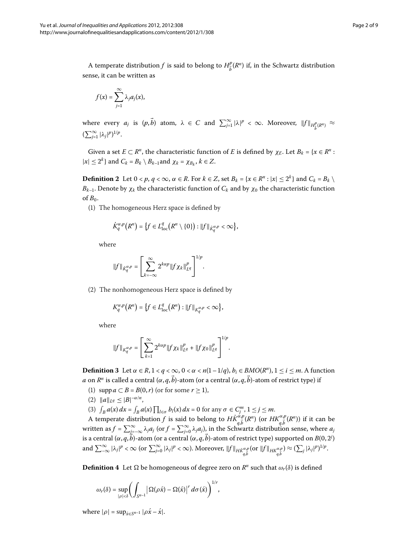A temperate distribution  $f$  is said to belong to  $H^p_{\vec{b}}(R^n)$  if, in the Schwartz distribution sense, it can be written as

$$
f(x)=\sum_{j=1}^{\infty}\lambda_j a_j(x),
$$

where every  $a_j$  is  $(p, b)$  atom,  $\lambda \in C$  and  $\sum_{j=1}^{\infty} |\lambda|^p < \infty$ . Moreover,  $||f||_{H^p_{\vec{b}}(R^n)} \approx$  $(\sum_{j=1}^{\infty} |\lambda_j|^p)^{1/p}.$ 

Given a set  $E \subset R^n$ , the characteristic function of *E* is defined by  $\chi_E$ . Let  $B_k = \{x \in R^n :$  $|x| \le 2^k$  and  $C_k = B_k \setminus B_{k-1}$  and  $\chi_k = \chi_{B_k}$ ,  $k \in \mathbb{Z}$ .

**Definition 2** Let  $0 < p, q < \infty, \alpha \in R$ . For  $k \in Z$ , set  $B_k = \{x \in R^n : |x| \leq 2^k\}$  and  $C_k = B_k \setminus R$ *B<sub>k–1</sub>*. Denote by  $χ_k$  the characteristic function of  $C_k$  and by  $χ_0$  the characteristic function of  $B_0$ .

() The homogeneous Herz space is defined by

$$
\dot{K}_q^{\alpha,p}\big(R^n\big)=\big\{f\in L^q_{\text{loc}}\big(R^n\setminus\{0\}\big):\|f\|_{\dot{K}_q^{\alpha,p}}<\infty\big\},\
$$

where

$$
\|f\|_{\dot{K}_q^{\alpha,p}}=\left[\sum_{k=-\infty}^{\infty}2^{k\alpha p}\|f\chi_k\|_{L^q}^p\right]^{1/p}.
$$

<span id="page-1-0"></span>(2) The nonhomogeneous Herz space is defined by

$$
K_q^{\alpha,p}(R^n) = \big\{f \in L^q_{\text{loc}}(R^n) : ||f||_{K_q^{\alpha,p}} < \infty \big\},\
$$

where

$$
\|f\|_{K_q^{\alpha,p}}=\left[\sum_{k=1}^{\infty}2^{k\alpha p}\|f\chi_k\|_{L^q}^p+\|f\chi_0\|_{L^q}^p\right]^{1/p}.
$$

**Definition 3** Let  $\alpha \in R$ ,  $1 < q < \infty$ ,  $0 < \alpha < n(1-1/q)$ ,  $b_i \in BMO(R^n)$ ,  $1 \le i \le m$ . A function *a* on  $R^n$  is called a central ( $\alpha, q, b$ )-atom (or a central ( $\alpha, q, b$ )-atom of restrict type) if

- (1) supp  $a \subset B = B(0, r)$  (or for some  $r \ge 1$ ),
- (2)  $||a||_{L^q} \leq |B|^{-\alpha/n}$ ,
- (3)  $\int_B a(x) dx = \int_B a(x) \prod_{l \in \sigma} b_l(x) dx = 0$  for any  $\sigma \in C_j^m$ ,  $1 \le j \le m$ .

A temperate distribution *f* is said to belong to  $H\dot{K}^{\alpha,p}_{q,\vec{b}}(R^n)$  (or  $H\dot{K}^{\alpha,p}_{q,\vec{b}}(R^n)$ ) if it can be written as  $f = \sum_{j=-\infty}^{\infty} \lambda_j a_j$  (or  $f = \sum_{j=0}^{\infty} \lambda_j a_j$ ), in the Schwartz distribution sense, where  $a_j$ is a central ( $\alpha$ , $q$ , $\acute{b}$ )-atom (or a central ( $\alpha$ , $q$ , $\acute{b}$ )-atom of restrict type) supported on  $B(0,2^j)$ and <sup>∞</sup> –<sup>∞</sup> |*λj*| *<sup>p</sup>* < ∞ (or <sup>∞</sup> *<sup>j</sup>*= |*λj*| *<sup>p</sup>* < ∞). Moreover, *f HK*˙ *<sup>α</sup>*,*<sup>p</sup> q*,*b*- (or *f HKα*,*<sup>p</sup> q*,*b*- ) ≈ ( *<sup>j</sup>* |*λj*| *p*) /*<sup>p</sup>*.

**Definition 4** Let  $\Omega$  be homogeneous of degree zero on  $R^n$  such that  $\omega_r(\delta)$  is defined

$$
\omega_r(\delta) = \sup_{|\rho| < \delta} \left( \int_{S^{n-1}} \left| \Omega(\rho \acute{x}) - \Omega(\acute{x}) \right|^r d\sigma(\acute{x}) \right)^{1/r},
$$

where  $|\rho| = \sup_{\hat{x} \in S^{n-1}} |\rho \hat{x} - \hat{x}|$ .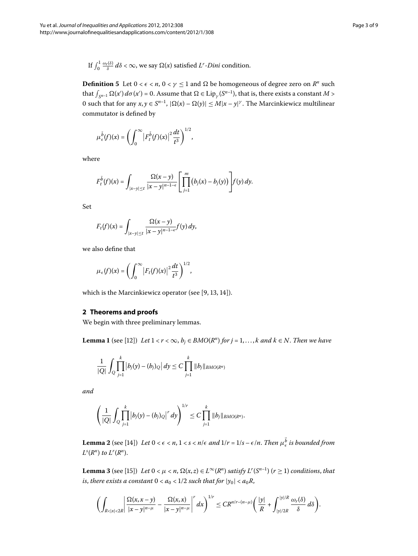If  $\int_0^1$  $\int_0^{1} \frac{\omega_r(\delta)}{\delta} d\delta$  < ∞, we say Ω(*x*) satisfied *L<sup>r</sup>*-*Dini* condition.

**Definition 5** Let  $0 < \epsilon < n$ ,  $0 < \gamma \leq 1$  and  $\Omega$  be homogeneous of degree zero on  $R^n$  such that  $\int_{S^{n-1}} \Omega(x') d\sigma(x') = 0$ . Assume that  $\Omega \in Lip_\gamma(S^{n-1})$ , that is, there exists a constant  $M >$ 0 such that for any  $x, y \in S^{n-1}$ ,  $|\Omega(x) - \Omega(y)| \le M|x - y|^{\gamma}$ . The Marcinkiewicz multilinear commutator is defined by

$$
\mu_{\epsilon}^{\tilde{b}}(f)(x)=\left(\int_0^{\infty}\left|F_t^{\tilde{b}}(f)(x)\right|^2\frac{dt}{t^3}\right)^{1/2},
$$

where

$$
F_t^{\tilde{b}}(f)(x)=\int_{|x-y|\leq t}\frac{\Omega(x-y)}{|x-y|^{n-1-\epsilon}}\left[\prod_{j=1}^m\big(b_j(x)-b_j(y)\big)\right]f(y)\,dy.
$$

Set

$$
F_t(f)(x)=\int_{|x-y|\leq t}\frac{\Omega(x-y)}{|x-y|^{n-1-\epsilon}}f(y)\,dy,
$$

we also define that

$$
\mu_{\epsilon}(f)(x) = \left(\int_0^{\infty} \left|F_t(f)(x)\right|^2 \frac{dt}{t^3}\right)^{1/2},
$$

which is the Marcinkiewicz operator (see  $[9, 13, 14]$  $[9, 13, 14]$  $[9, 13, 14]$  $[9, 13, 14]$  $[9, 13, 14]$ ).

### **2 Theorems and proofs**

We begin with three preliminary lemmas.

**Lemma 1** (see [12]) *Let*  $1 < r < \infty$ ,  $b_i \in BMO(R^n)$  for  $j = 1, ..., k$  and  $k \in N$ . Then we have

$$
\frac{1}{|Q|}\int_{Q}\prod_{j=1}^{k}|b_{j}(y)-(b_{j})_{Q}|dy\leq C\prod_{j=1}^{k}\|b_{j}\|_{BMO(R^{n})}
$$

*and*

<span id="page-2-0"></span>
$$
\left(\frac{1}{|Q|}\int_{Q}\prod_{j=1}^{k}|b_{j}(y)-(b_{j})_{Q}|^{r} dy\right)^{1/r}\leq C\prod_{j=1}^{k}\|b_{j}\|_{BMO(R^{n})}.
$$

**Lemma 2** (see [14[\]](#page-8-7)) Let  $0 < \epsilon < n$ ,  $1 < s < n/\epsilon$  and  $1/r = 1/s - \epsilon/n$ . Then  $\mu_{\epsilon}^{b}$  is bounded from  $L^s(R^n)$  *to*  $L^r(R^n)$ .

**Lemma 3** (see [15[\]](#page-8-11)) *Let*  $0 < \mu < n$ ,  $\Omega(x, z) \in L^{\infty}(R^n)$  *satisfy*  $L^r(S^{n-1})$  ( $r \ge 1$ ) *conditions*, *that is*, *there exists a constant*  $0 < a_0 < 1/2$  *such that for*  $|y_0| < a_0 R$ ,

$$
\left(\int_{R<|x|<2R}\left|\frac{\Omega(x,x-y)}{|x-y|^{n-\mu}}-\frac{\Omega(x,x)}{|x-y|^{n-\mu}}\right|^{r}dx\right)^{1/r}\leq CR^{n/r-(n-\mu)}\left(\frac{|y|}{R}+\int_{|y|/2R}^{|y|/R}\frac{\omega_{r}(\delta)}{\delta}d\delta\right).
$$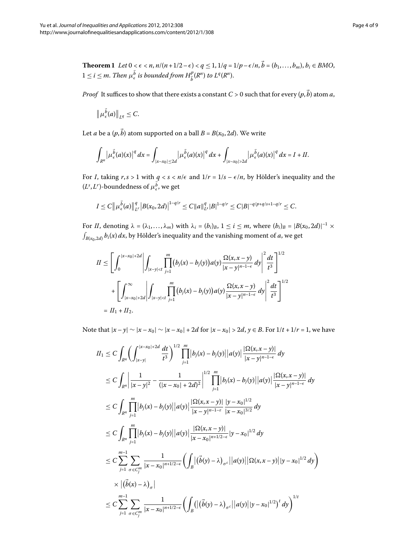<span id="page-3-0"></span>**Theorem 1** Let  $0 \le \epsilon \le n$ ,  $n/(n+1/2-\epsilon) < q \le 1$ ,  $1/q = 1/p - \epsilon/n$ ,  $b = (b_1, \ldots, b_m)$ ,  $b_i \in BMO$ ,  $1 \leq i \leq m$ . Then  $\mu_{\epsilon}^{\overline{b}}$  is bounded from  $H_{\overline{b}}^p(R^n)$  to  $L^q(R^n)$ .

*Proof* It suffices to show that there exists a constant  $C$  > 0 such that for every  $(p,b)$  atom *a*,

$$
\|\mu_{\epsilon}^{\vec{b}}(a)\|_{L^q}\leq C.
$$

Let *a* be a  $(p, b)$  atom supported on a ball  $B = B(x_0, 2d)$ . We write

$$
\int_{R^n} \left| \mu_{\epsilon}^{\vec{b}}(a)(x) \right|^q dx = \int_{|x-x_0| \leq 2d} \left| \mu_{\epsilon}^{\vec{b}}(a)(x) \right|^q dx + \int_{|x-x_0| > 2d} \left| \mu_{\epsilon}^{\vec{b}}(a)(x) \right|^q dx = I + II.
$$

For *I*, taking  $r, s > 1$  with  $q < s < n/\epsilon$  and  $1/r = 1/s - \epsilon/n$ , by Hölder's inequality and the  $(L^s, L^r)$ -boundedness of  $\mu_{\epsilon}^b$ , we get

$$
I \leq C \|\mu_{\epsilon}^{\vec{b}}(a)\|_{L^r}^q |B(x_0, 2d)|^{1-q/r} \leq C \|a\|_{L^s}^q |B|^{1-q/r} \leq C |B|^{-q/p+q/s+1-q/r} \leq C.
$$

For *II*, denoting  $\lambda = (\lambda_1, ..., \lambda_m)$  with  $\lambda_i = (b_i)_B$ ,  $1 \le i \le m$ , where  $(b_i)_B = |B(x_0, 2d)|^{-1} \times$  $\int_{B(x_0,2d)} b_i(x) dx$ , by Hölder's inequality and the vanishing moment of *a*, we get

$$
II \leq \left[ \int_0^{|x-x_0|+2d} \left| \int_{|x-y| < t} \prod_{j=1}^m (b_j(x) - b_j(y)) a(y) \frac{\Omega(x, x - y)}{|x-y|^{n-1-\epsilon}} dy \right|^2 \frac{dt}{t^3} \right]^{1/2}
$$
  
+ 
$$
\left[ \int_{|x-x_0|+2d}^{\infty} \left| \int_{|x-y| < t} \prod_{j=1}^m (b_j(x) - b_j(y)) a(y) \frac{\Omega(x, x - y)}{|x-y|^{n-1-\epsilon}} dy \right|^2 \frac{dt}{t^3} \right]^{1/2}
$$
  
=  $\Pi_1 + \Pi_2.$ 

Note that  $|x - y| \sim |x - x_0| \sim |x - x_0| + 2d$  for  $|x - x_0| > 2d$ , *y* ∈ *B*. For  $1/t + 1/r = 1$ , we have

$$
II_{1} \leq C \int_{R^{n}} \left( \int_{|x-y|}^{|x-x_{0}|+2d} \frac{dt}{t^{3}} \right)^{1/2} \prod_{j=1}^{m} |b_{j}(x)-b_{j}(y)| |a(y)| \frac{|\Omega(x,x-y)|}{|x-y|^{n-1-\epsilon}} dy
$$
  
\n
$$
\leq C \int_{R^{n}} \left| \frac{1}{|x-y|^{2}} - \frac{1}{(|x-x_{0}|+2d)^{2}} \right|^{1/2} \prod_{j=1}^{m} |b_{j}(x)-b_{j}(y)| |a(y)| \frac{|\Omega(x,x-y)|}{|x-y|^{n-1-\epsilon}} dy
$$
  
\n
$$
\leq C \int_{R^{n}} \prod_{j=1}^{m} |b_{j}(x)-b_{j}(y)| |a(y)| \frac{|\Omega(x,x-y)|}{|x-y|^{n-1-\epsilon}} \frac{|y-x_{0}|^{1/2}}{|x-x_{0}|^{3/2}} dy
$$
  
\n
$$
\leq C \int_{R^{n}} \prod_{j=1}^{m} |b_{j}(x)-b_{j}(y)| |a(y)| \frac{|\Omega(x,x-y)|}{|x-x_{0}|^{n+1/2-\epsilon}} |y-x_{0}|^{1/2} dy
$$
  
\n
$$
\leq C \sum_{j=1}^{m-1} \sum_{\sigma \in C_{j}^{m}} \frac{1}{|x-x_{0}|^{n+1/2-\epsilon}} \left( \int_{B} |(\vec{b}(y)-\lambda)_{\sigma}c| |a(y)| |\Omega(x,x-y)| |y-x_{0}|^{1/2} dy \right)
$$
  
\n
$$
\times |(\vec{b}(x)-\lambda)_{\sigma}|
$$
  
\n
$$
\leq C \sum_{j=1}^{m-1} \sum_{\sigma \in C_{j}^{m}} \frac{1}{|x-x_{0}|^{n+1/2-\epsilon}} \left( \int_{B} (|(\vec{b}(y)-\lambda)_{\sigma}c| |a(y)| |y-x_{0}|^{1/2})^{t} dy \right)^{1/t}
$$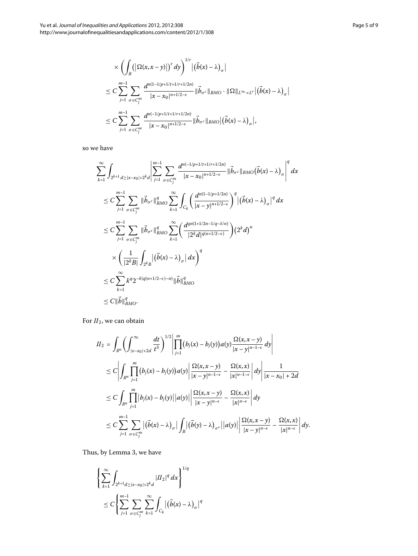$$
\times \left( \int_{B} \left( \left| \Omega(x, x - y) \right| \right)^{r} dy \right)^{1/r} \left| (\vec{b}(x) - \lambda)_{\sigma} \right|
$$
  
\n
$$
\leq C \sum_{j=1}^{m-1} \sum_{\sigma \in C_{j}^{m}} \frac{d^{n(1-1/p+1/t+1/r+1/2n)}}{|x - x_{0}|^{n+1/2-\epsilon}} \|\vec{b}_{\sigma}c\|_{BMO} \cdot \|\Omega\|_{L^{\infty} \times L^{r}} \left| (\vec{b}(x) - \lambda)_{\sigma} \right|
$$
  
\n
$$
\leq C \sum_{j=1}^{m-1} \sum_{\sigma \in C_{j}^{m}} \frac{d^{n(1/p+1/t+1/r+1/2n)}}{|x - x_{0}|^{n+1/2-\epsilon}} \|\vec{b}_{\sigma}c\|_{BMO} \left| (\vec{b}(x) - \lambda)_{\sigma} \right|,
$$

so we have

$$
\sum_{k=1}^{\infty} \int_{2^{k+1} d \ge |x-x_0| > 2^k d} \left| \sum_{j=1}^{m-1} \sum_{\sigma \in C_j^m} \frac{d^{n(-1/p+1/t+1/r+1/2n)}}{|x-x_0|^{n+1/2-\epsilon}} \right| \vec{b}_{\sigma^c} \|_{BMO} (\vec{b}(x) - \lambda)_{\sigma} \right|^q dx
$$
  
\n
$$
\le C \sum_{j=1}^{m-1} \sum_{\sigma \in C_j^m} \| \vec{b}_{\sigma^c} \|_{BMO}^q \sum_{k=1}^{\infty} \int_{C_k} \left( \frac{d^{n(1-1/p+1/2n)}}{|x-y|^{n+1/2-\epsilon}} \right)^q |(\vec{b}(x) - \lambda)_{\sigma}|^q dx
$$
  
\n
$$
\le C \sum_{j=1}^{m-1} \sum_{\sigma \in C_j^m} \| \vec{b}_{\sigma^c} \|_{BMO}^q \sum_{k=1}^{\infty} \left( \frac{d^{qn(1+1/2n-1/q-\delta/n)}}{|2^k d|^{q(n+1/2-\epsilon)}} \right) (2^k d)^n
$$
  
\n
$$
\times \left( \frac{1}{|2^k B|} \int_{2^k B} |(\vec{b}(x) - \lambda)_{\sigma}| dx \right)^q
$$
  
\n
$$
\le C \sum_{k=1}^{\infty} k^q 2^{-k(q(n+1/2-\epsilon)-n)} \| \vec{b} \|_{BMO}^q
$$
  
\n
$$
\le C \|\vec{b}\|_{BMO}^q.
$$

For  $II_2$ , we can obtain

$$
II_{2} = \int_{R^{n}} \left( \int_{|x-x_{0}|+2d}^{\infty} \frac{dt}{t^{3}} \right)^{1/2} \left| \prod_{j=1}^{m} (b_{j}(x)-b_{j}(y)) a(y) \frac{\Omega(x,x-y)}{|x-y|^{n-1-\epsilon}} dy \right|
$$
  
\n
$$
\leq C \left| \int_{R^{n}} \prod_{j=1}^{m} (b_{j}(x)-b_{j}(y)) a(y) \right| \frac{\Omega(x,x-y)}{|x-y|^{n-1-\epsilon}} - \frac{\Omega(x,x)}{|x|^{n-1-\epsilon}} dy \right| \frac{1}{|x-x_{0}|+2d}
$$
  
\n
$$
\leq C \int_{R^{n}} \prod_{j=1}^{m} |b_{j}(x)-b_{j}(y)| |a(y)| \left| \frac{\Omega(x,x-y)}{|x-y|^{n-\epsilon}} - \frac{\Omega(x,x)}{|x|^{n-\epsilon}} \right| dy
$$
  
\n
$$
\leq C \sum_{j=1}^{m-1} \sum_{\sigma \in C_{j}^{m}} |(\vec{b}(x)-\lambda)_{\sigma}| \int_{B} |(\vec{b}(y)-\lambda)_{\sigma}||a(y)| \left| \frac{\Omega(x,x-y)}{|x-y|^{n-\epsilon}} - \frac{\Omega(x,x)}{|x|^{n-\epsilon}} \right| dy.
$$

Thus, by Lemma 3, we have

$$
\left\{\sum_{k=1}^{\infty}\int_{2^{k+1}d\geq |x-x_0|>2^kd}|H_2|^q dx\right\}^{1/q}
$$
  

$$
\leq C\left\{\sum_{j=1}^{m-1}\sum_{\sigma\in C_j^m}\sum_{k=1}^{\infty}\int_{C_k}|\left(\vec{b}(x)-\lambda\right)_{\sigma}|^q\right\}
$$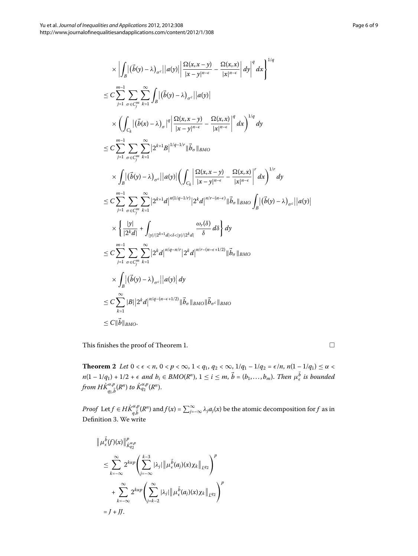$$
\times \left| \int_{B} |(\vec{b}(y) - \lambda)_{\sigma^c}||a(y)|| \frac{\Omega(x, x - y)}{|x - y|^{n - \epsilon}} - \frac{\Omega(x, x)}{|x|^{n - \epsilon}} dy \right|^q dx \right|^{1/q}
$$
\n
$$
\leq C \sum_{j=1}^{m-1} \sum_{\sigma \in C_j^m} \sum_{k=1}^{\infty} \int_{B} |(\vec{b}(y) - \lambda)_{\sigma^c}||a(y)|
$$
\n
$$
\times \left( \int_{C_k} |(\vec{b}(x) - \lambda)_{\sigma}|^q \left| \frac{\Omega(x, x - y)}{|x - y|^{n - \epsilon}} - \frac{\Omega(x, x)}{|x|^{n - \epsilon}} \right|^q dx \right)^{1/q} dy
$$
\n
$$
\leq C \sum_{j=1}^{m-1} \sum_{\sigma \in C_j^m} \sum_{k=1}^{\infty} |2^{k+1}B|^{1/q - 1/r} ||\vec{b}_{\sigma}||_{BMO}
$$
\n
$$
\times \int_{B} |(\vec{b}(y) - \lambda)_{\sigma^c}||a(y)|| \left( \int_{C_k} \left| \frac{\Omega(x, x - y)}{|x - y|^{n - \epsilon}} - \frac{\Omega(x, x)}{|x|^{n - \epsilon}} \right|^r dx \right)^{1/r} dy
$$
\n
$$
\leq C \sum_{j=1}^{m-1} \sum_{\sigma \in C_j^m} \sum_{k=1}^{\infty} |2^{k+1}d|^{n(1/q - 1/r)} |2^k d|^{n/r - (n - \epsilon)} ||\vec{b}_{\sigma}||_{BMO} \int_{B} |(\vec{b}(y) - \lambda)_{\sigma^c}||a(y)|
$$
\n
$$
\times \left\{ \frac{|y|}{|2^k d|} + \int_{|y|/|2^{k+1}d| < \delta < |y|/2^k d|} \frac{\omega_r(\delta)}{\delta} d\delta \right\} dy
$$
\n
$$
\leq C \sum_{j=1}^{m-1} \sum_{\sigma \in C_j^m} \sum_{k=1}^{\infty} |2^k d|^{n/q - n/r} |2^k d|^{n/r - (n - \epsilon + 1/2)} ||\vec{b}_{\sigma}||_{BMO}
$$
\n
$$
\times \int_{B} |(\vec{b}(y)
$$

<span id="page-5-0"></span>This finishes the proof of Theorem 1[.](#page-3-0)

**Theorem 2** Let  $0 < \epsilon < n$ ,  $0 < p < \infty$ ,  $1 < q_1$ ,  $q_2 < \infty$ ,  $1/q_1 - 1/q_2 = \epsilon/n$ ,  $n(1 - 1/q_1) \le \alpha <$  $n(1 - 1/q_1) + 1/2 + \epsilon$  and  $b_i \in BMO(R^n)$ ,  $1 \le i \le m$ ,  $b = (b_1, ..., b_m)$ . Then  $\mu_{\epsilon}^b$  is bounded  $f$ rom  $H\dot{K}_{q_1,\vec{b}}^{\alpha,p}(R^n)$  to  $\dot{K}_{q_2}^{\alpha,p}(R^n).$ 

*Proof* Let  $f \in H\dot{K}_{q,\vec{b}}^{\alpha,p}(R^n)$  and  $f(x) = \sum_{j=-\infty}^{\infty} \lambda_j a_j(x)$  be the atomic decomposition for  $f$  as in Definition 3. We write

$$
\|\mu_{\epsilon}^{\vec{b}}(f)(x)\|_{\dot{K}_{q_2}^{\alpha,p}}^p
$$
\n
$$
\leq \sum_{k=-\infty}^{\infty} 2^{k\alpha p} \left( \sum_{j=-\infty}^{k-3} |\lambda_j| \|\mu_{\epsilon}^{\vec{b}}(a_j)(x)\chi_k\|_{L^{q_2}} \right)^p
$$
\n
$$
+ \sum_{k=-\infty}^{\infty} 2^{k\alpha p} \left( \sum_{j=k-2}^{\infty} |\lambda_j| \|\mu_{\epsilon}^{\vec{b}}(a_j)(x)\chi_k\|_{L^{q_2}} \right)^p
$$
\n
$$
= J + JJ.
$$

 $\Box$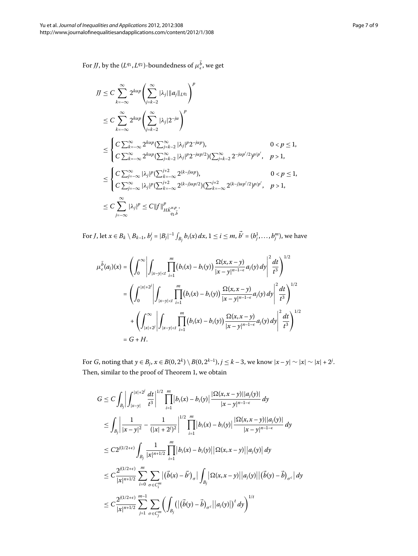For *JJ*, by the  $(L^{q_1}, L^{q_2})$ -boundedness of  $\mu_{\epsilon}^b$ , we get

$$
JJ \leq C \sum_{k=-\infty}^{\infty} 2^{k\alpha p} \left( \sum_{j=k-2}^{\infty} |\lambda_j| \|a_j\|_{L^{q_1}} \right)^p
$$
  
\n
$$
\leq C \sum_{k=-\infty}^{\infty} 2^{k\alpha p} \left( \sum_{j=k-2}^{\infty} |\lambda_j| 2^{-j\alpha} \right)^p
$$
  
\n
$$
\leq \begin{cases} C \sum_{k=-\infty}^{\infty} 2^{k\alpha p} \left( \sum_{j=k-2}^{\infty} |\lambda_j| 2^{-j\alpha p} \right) & 0 < p \leq 1, \\ C \sum_{k=-\infty}^{\infty} 2^{k\alpha p} \left( \sum_{j=k-2}^{\infty} |\lambda_j|^p 2^{-j\alpha p/2} \right) \left( \sum_{j=k-2}^{\infty} 2^{-j\alpha p/2} 2^{p/p'}, & p > 1, \end{cases}
$$
  
\n
$$
\leq \begin{cases} C \sum_{j=-\infty}^{\infty} |\lambda_j|^p \left( \sum_{k=-\infty}^{j+2} 2^{(k-j)\alpha p} \right) & 0 < p \leq 1, \\ C \sum_{j=-\infty}^{\infty} |\lambda_j|^p \left( \sum_{k=-\infty}^{j+2} 2^{(k-j)\alpha p/2} \right) \left( \sum_{k=-\infty}^{j+2} 2^{(k-j)\alpha p/2} 2^{p/p'}, & p > 1, \end{cases}
$$
  
\n
$$
\leq C \sum_{j=-\infty}^{\infty} |\lambda_j|^p \leq C ||f||_{HK_{q_1b}^{\alpha,p}}^p.
$$

For *J*, let  $x \in B_k \setminus B_{k-1}$ ,  $b^i_j = |B_j|^{-1} \int_{B_j} b_i(x)\,dx$ ,  $1 \leq i \leq m$ ,  $b' = (b^1_j,\ldots,b^m_j),$  we have

$$
\mu_{\epsilon}^{\vec{b}}(a_j)(x) = \left(\int_0^{\infty} \left| \int_{|x-y| < t} \prod_{i=1}^m (b_i(x) - b_i(y)) \frac{\Omega(x, x - y)}{|x - y|^{n-1 - \epsilon}} a_j(y) dy \right|^2 \frac{dt}{t^3} \right)^{1/2}
$$
  
\n
$$
= \left(\int_0^{|x| + 2^j} \left| \int_{|x - y| < t} \prod_{i=1}^m (b_i(x) - b_i(y)) \frac{\Omega(x, x - y)}{|x - y|^{n-1 - \epsilon}} a_j(y) dy \right|^2 \frac{dt}{t^3} \right)^{1/2}
$$
  
\n
$$
+ \left(\int_{|x| + 2^j}^{\infty} \left| \int_{|x - y| < t} \prod_{i=1}^m (b_i(x) - b_i(y)) \frac{\Omega(x, x - y)}{|x - y|^{n-1 - \epsilon}} a_j(y) dy \right|^2 \frac{dt}{t^3} \right)^{1/2}
$$
  
\n
$$
= G + H.
$$

For *G*, noting that  $y \in B_j$ ,  $x \in B(0, 2^k) \setminus B(0, 2^{k-1})$ ,  $j \le k-3$ , we know  $|x-y| \sim |x| \sim |x| + 2^j$ . Then, similar to the proof of Theorem 1, we obtain

$$
G \leq C \int_{B_j} \left| \int_{|x-y|}^{|x|+2j} \frac{dt}{t^3} \right|^{1/2} \prod_{i=1}^m |b_i(x) - b_i(y)| \frac{|\Omega(x, x-y)||a_j(y)|}{|x-y|^{n-1-\epsilon}} dy
$$
  
\n
$$
\leq \int_{B_j} \left| \frac{1}{|x-y|^2} - \frac{1}{(|x|+2i)^2} \right|^{1/2} \prod_{i=1}^m |b_i(x) - b_i(y)| \frac{|\Omega(x, x-y)||a_j(y)|}{|x-y|^{n-1-\epsilon}} dy
$$
  
\n
$$
\leq C 2^{j(1/2+\epsilon)} \int_{B_j} \frac{1}{|x|^{n+1/2}} \prod_{i=1}^m |b_i(x) - b_i(y)| |\Omega(x, x-y)| |a_i(y)| dy
$$
  
\n
$$
\leq C \frac{2^{j(1/2+\epsilon)}}{|x|^{n+1/2}} \sum_{i=0}^m \sum_{\sigma \in C_i^m} |(\vec{b}(x) - \vec{b})_{\sigma}| \int_{B_j} |\Omega(x, x-y)| |a_j(y)| |(\vec{b}(y) - \vec{b})_{\sigma^c}| dy
$$
  
\n
$$
\leq C \frac{2^{j(1/2+\epsilon)}}{|x|^{n+1/2}} \sum_{j=1}^{m-1} \sum_{\sigma \in C_j^m} ( \int_{B_j} (|(\vec{b}(y) - \vec{b})_{\sigma^c}|a_j(y)|)^t dy )^{1/t}
$$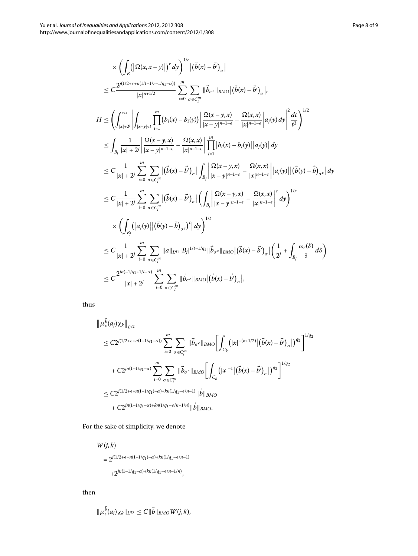$$
\times \left( \int_{B} (|\Omega(x, x - y)|)^{r} dy \right)^{1/r} |(\vec{b}(x) - \vec{b}')_{\sigma}|
$$
\n
$$
\leq C \frac{2^{j(1/2 + \epsilon + n(1/t + 1/r - 1/q_{1} - \alpha))}}{|x|^{n+1/2}} \sum_{i=0}^{m} \sum_{\sigma \in C_{i}^{m}} ||\vec{b}_{\sigma}(\sinh(\vec{b}(x) - \vec{b}')_{\sigma}|,
$$
\n
$$
H \leq \left( \int_{|x| \neq j}^{\infty} \left| \int_{|x-y| < t} \prod_{i=1}^{m} (b_{i}(x) - b_{i}(y)) \right| \frac{\Omega(x - y, x)}{|x - y|^{n-1 - \epsilon}} - \frac{\Omega(x, x)}{|x|^{n-1 - \epsilon}} |a_{j}(y) dy|^{2} \frac{dt}{t^{3}} \right)^{1/2}
$$
\n
$$
\leq \int_{B_{j}} \frac{1}{|x| + 2^{j}} \left| \frac{\Omega(x - y, x)}{|x - y|^{n-1 - \epsilon}} - \frac{\Omega(x, x)}{|x|^{n-1 - \epsilon}} \right| \prod_{i=1}^{m} |b_{i}(x) - b_{i}(y)| |a_{j}(y)| dy
$$
\n
$$
\leq C \frac{1}{|x| + 2^{j}} \sum_{i=0}^{m} \sum_{\sigma \in C_{i}^{m}} |(\vec{b}(x) - \vec{b}')_{\sigma}| \int_{B_{j}} \left| \frac{\Omega(x - y, x)}{|x - y|^{n-1 - \epsilon}} - \frac{\Omega(x, x)}{|x|^{n-1 - \epsilon}} |a_{j}(y)| |(\vec{b}(y) - \vec{b})_{\sigma} \epsilon| dy \right|
$$
\n
$$
\leq C \frac{1}{|x| + 2^{j}} \sum_{i=0}^{m} \sum_{\sigma \in C_{i}^{m}} |(\vec{b}(x) - \vec{b}')_{\sigma}| \left( \int_{B_{j}} \left| \frac{\Omega(x - y, x)}{|x - y|^{n-1 - \epsilon}} - \frac{\Omega(x, x)}{|x|^{n-1 - \epsilon}} \right|^{r} dy \right)^{1/r}
$$
\n
$$
\times \left( \int_{B_{j}} (|a_{j}(y)| |(\vec{b}(y) - \vec{b})_{\sigma c})^{
$$

thus

$$
\|\mu_{\epsilon}^{b}(a_{j})\chi_{k}\|_{L^{q_{2}}}
$$
\n
$$
\leq C2^{j(1/2+\epsilon+n(1-1/q_{1}-\alpha))}\sum_{i=0}^{m}\sum_{\sigma\in C_{i}^{m}}\|\vec{b}_{\sigma^{c}}\|_{BMO}\left[\int_{C_{k}}\left(|x|^{-(n+1/2)}|\left(\vec{b}(x)-\vec{b}'\right)_{\sigma}|\right)^{q_{2}}\right]^{1/q_{2}}
$$
\n
$$
+C2^{jn(1-1/q_{1}-\alpha)}\sum_{i=0}^{m}\sum_{\sigma\in C_{i}^{m}}\|\vec{b}_{\sigma^{c}}\|_{BMO}\left[\int_{C_{k}}\left(|x|^{-1}|\left(\vec{b}(x)-\vec{b}'\right)_{\sigma}|\right)^{q_{2}}\right]^{1/q_{2}}
$$
\n
$$
\leq C2^{j(1/2+\epsilon+n(1-1/q_{1})-\alpha)+kn(1/q_{1}-\epsilon/n-1)}\|\vec{b}\|_{BMO}
$$
\n
$$
+C2^{jn(1-1/q_{1}-\alpha)+kn(1/q_{1}-\epsilon/n-1/n)}\|\vec{b}\|_{BMO}.
$$

For the sake of simplicity, we denote

*W*(*j*, *k*)  $= 2^{j(1/2+\epsilon+n(1-1/q_1)-\alpha)+kn(1/q_1-\epsilon/n-1)}$  $+2^{jn(1-1/q_1-\alpha)+kn(1/q_1-\epsilon/n-1/n)},$ 

then

$$
\|\mu_{\epsilon}^{\vec{b}}(a_j)\chi_k\|_{L^{q_2}}\leq C\|\vec{b}\|_{BMO}W(j,k),
$$